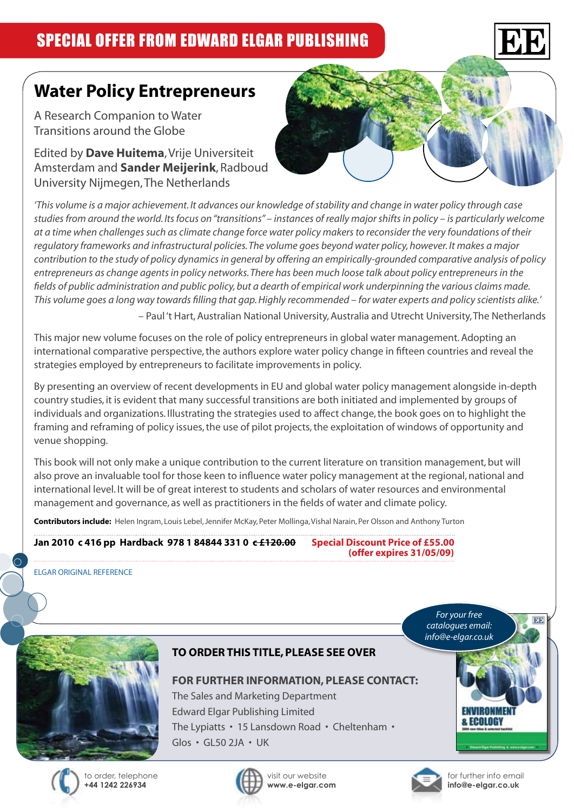

# **Water Policy Entrepreneurs**

A Research Companion to Water Transitions around the Globe

Edited by **Dave Huitema**, Vrije Universiteit Amsterdam and **Sander Meijerink**, Radboud University Nijmegen, The Netherlands



*'This volume is a major achievement. It advances our knowledge of stability and change in water policy through case studies from around the world. Its focus on "transitions" – instances of really major shifts in policy – is particularly welcome at a time when challenges such as climate change force water policy makers to reconsider the very foundations of their regulatory frameworks and infrastructural policies. The volume goes beyond water policy, however. It makes a major contribution to the study of policy dynamics in general by offering an empirically-grounded comparative analysis of policy entrepreneurs as change agents in policy networks. There has been much loose talk about policy entrepreneurs in the fields of public administration and public policy, but a dearth of empirical work underpinning the various claims made. This volume goes a long way towards filling that gap. Highly recommended – for water experts and policy scientists alike.'* – Paul 't Hart, Australian National University, Australia and Utrecht University, The Netherlands

This major new volume focuses on the role of policy entrepreneurs in global water management. Adopting an international comparative perspective, the authors explore water policy change in fifteen countries and reveal the strategies employed by entrepreneurs to facilitate improvements in policy.

By presenting an overview of recent developments in EU and global water policy management alongside in-depth country studies, it is evident that many successful transitions are both initiated and implemented by groups of individuals and organizations. Illustrating the strategies used to affect change, the book goes on to highlight the framing and reframing of policy issues, the use of pilot projects, the exploitation of windows of opportunity and venue shopping.

This book will not only make a unique contribution to the current literature on transition management, but will also prove an invaluable tool for those keen to influence water policy management at the regional, national and international level. It will be of great interest to students and scholars of water resources and environmental management and governance, as well as practitioners in the fields of water and climate policy.

**Contributors include:** Helen Ingram, Louis Lebel, Jennifer McKay, Peter Mollinga, Vishal Narain, Per Olsson and Anthony Turton

### **Jan 2010 c 416 pp Hardback 978 1 84844 331 0 c £120.00 Special Discount Price of £55.00 (offer expires 31/05/09)**

ELGAR ORIGINAL REFERENCE



**TO ORDER THIS TITLE, PLEASE SEE OVER**

#### **FOR FURTHER INFORMATION, PLEASE CONTACT:**

The Sales and Marketing Department Edward Elgar Publishing Limited The Lypiatts • 15 Lansdown Road • Cheltenham • Glos • GL50 2JA • UK







for further info email **info@e-elgar.co.uk**

Fenine

*For your free catalogues email: info@e-elgar.co.uk*